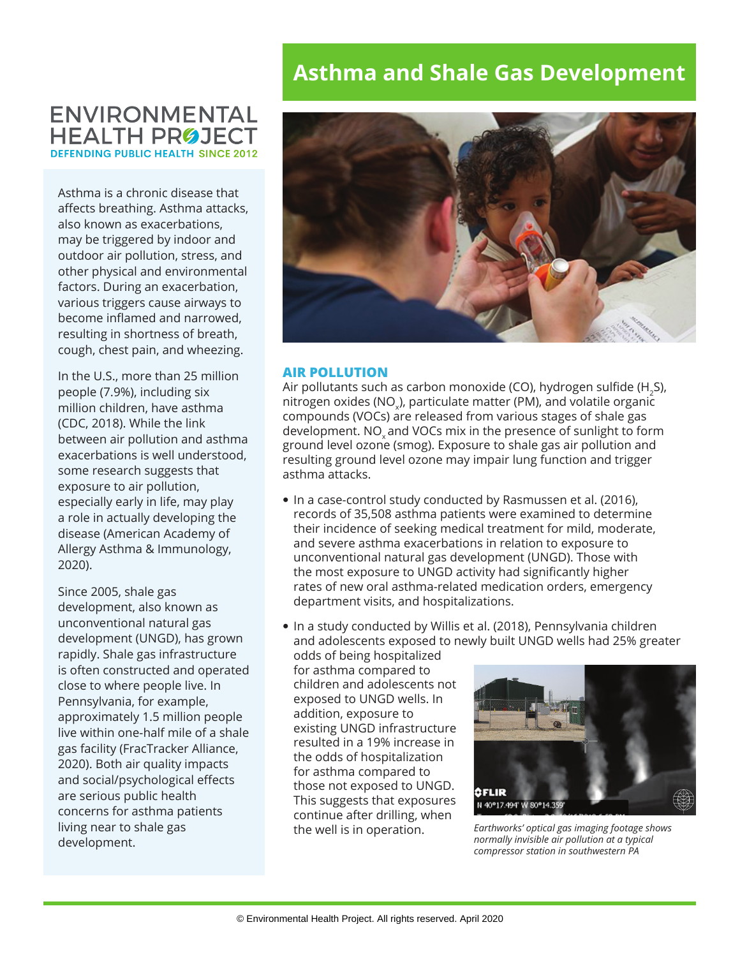# **ENVIRONMENTAL HEALTH PROJECT DEFENDING PUBLIC HEALTH SINCE 2012**

Asthma is a chronic disease that affects breathing. Asthma attacks, also known as exacerbations, may be triggered by indoor and outdoor air pollution, stress, and other physical and environmental factors. During an exacerbation, various triggers cause airways to become inflamed and narrowed, resulting in shortness of breath, cough, chest pain, and wheezing.

In the U.S., more than 25 million people (7.9%), including six million children, have asthma (CDC, 2018). While the link between air pollution and asthma exacerbations is well understood, some research suggests that exposure to air pollution, especially early in life, may play a role in actually developing the disease (American Academy of Allergy Asthma & Immunology, 2020).

Since 2005, shale gas development, also known as unconventional natural gas development (UNGD), has grown rapidly. Shale gas infrastructure is often constructed and operated close to where people live. In Pennsylvania, for example, approximately 1.5 million people live within one-half mile of a shale gas facility (FracTracker Alliance, 2020). Both air quality impacts and social/psychological effects are serious public health concerns for asthma patients living near to shale gas development.

# **Asthma and Shale Gas Development**



## **AIR POLLUTION**

Air pollutants such as carbon monoxide (CO), hydrogen sulfide (H<sub>2</sub>S), nitrogen oxides (NO $_{\sf x}$ ), particulate matter (PM), and volatile organic compounds (VOCs) are released from various stages of shale gas development. NO<sub>v</sub> and VOCs mix in the presence of sunlight to form ground level ozone (smog). Exposure to shale gas air pollution and resulting ground level ozone may impair lung function and trigger asthma attacks.

- In a case-control study conducted by Rasmussen et al. (2016), records of 35,508 asthma patients were examined to determine their incidence of seeking medical treatment for mild, moderate, and severe asthma exacerbations in relation to exposure to unconventional natural gas development (UNGD). Those with the most exposure to UNGD activity had significantly higher rates of new oral asthma-related medication orders, emergency department visits, and hospitalizations.
- In a study conducted by Willis et al. (2018), Pennsylvania children and adolescents exposed to newly built UNGD wells had 25% greater

odds of being hospitalized for asthma compared to children and adolescents not exposed to UNGD wells. In addition, exposure to existing UNGD infrastructure resulted in a 19% increase in the odds of hospitalization for asthma compared to those not exposed to UNGD. This suggests that exposures continue after drilling, when the well is in operation.



*Earthworks' optical gas imaging footage shows normally invisible air pollution at a typical compressor station in southwestern PA*